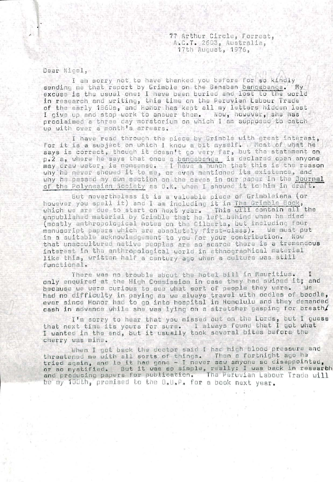77 Arthur Circle, Forrest, A.C.T. 2603, Australia, 17th August, 1976,

Dear Nigel,

-1

SS

I am sorry not to have thanked you before for so kindly () sending me that report by Grimble on the Banaban banqabanqa. My excuse is the usual one; I have been buried and lost to the uorld in research and writing, this time on the Peruvian Labour Trade of the early 165C)s, and honor has kept all my letters hidden lest I give up and stop work to answer them. Now, however, she has proclaimed a three day moratorium on which I am supposed to catch up with over <sup>a</sup> month's arrears.

, and  $\mathbf{e} = \mathbf{e}_1 + \mathbf{e}_2 + \mathbf{e}_3 + \mathbf{e}_4$  ,  $\mathbf{e}_2 + \mathbf{e}_3 + \mathbf{e}_4$  ,  $\mathbf{e}_3 + \mathbf{e}_5 + \mathbf{e}_6$  . We have the set of  $\mathbf{e}_1$ 

—T'V. \' V, ,, • ••

1' •• ''

I have read through the piece by Grimble with grea<sup>t</sup> interest, for it is a subject on which I know a bit myself. A Most of what he says is correct, though it doesn't go very far, but the statement on p,2 a, where he says that once <sup>a</sup> banqabanqa is declared open anyone may draw water, is nonsense, I have <sup>a</sup> hunch that this is the reason why he never showed it to me, or even mentioned its existence, and why he passed my own section on the caves in our paper in the Journal of the Polynesian Society as 0.K, when I showed it to him in draft.

But nevertheless it is <sup>a</sup> valuable piece of Grimbleiana (or however you spell it) and I am including it in The Grimble Book, which wa ara due to start on next year. This will contain all the unpublished material by Grimble that he left behind whan he died (mostly anthropological notes on the Gilberts, but including four<br>manuscript papers which are absolutely first-class). We must put manuscript papers which are absolutely first-class). in <sup>a</sup> suitable acknowledgement to you for your contribution. Now that unaccultured native peoples are so scarce there is <sup>a</sup> tremendous interest in the anthropological world in ethnographical material like this, written half <sup>a</sup> century ago when <sup>a</sup> culture was still functional.

Thore was no trouble about the hotel bill in Mauritius, I only enquired at the High Commission in case they had swiped it; and because we were curious to see what sort of people they were, Ue had no difficulty in paying as ue always travol with oodles of boodle, ever since Honor had to go into hospital in Honolulu and they demanded<br>cash in advance while she was lving on a stretcher gasping for breath/ cash in advance while she was lying on a stretcher gasping for breath

I'm sorry to hear that you missed out on the Lords, but I guess , that next time its yours for sure, I always found that I go<sup>t</sup> what <sup>I</sup> wanted in the end, but it usually took several bites before the cherry was mine,

When I got back the doctor said I had high blood pressure and threatened me with all sorts of things. Then a fortnight ago he<br>tried again, and lo it had gone — I never saw anyone so disappointed, or so mystified. But it was so simple, really; I was back in researbh and producing papers for publication. The Peruvian Labour Trade will bo my 100th, promised to the 0,U»P« for <sup>a</sup> book next year.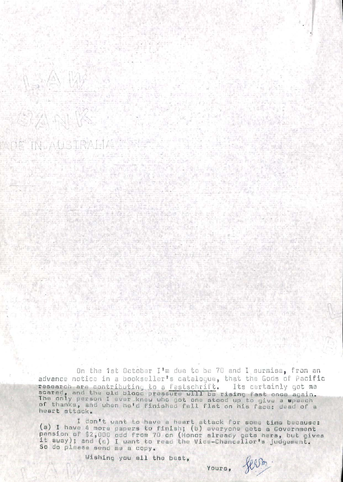On the 1st October I'm due to be 70 and I surmise, from an advance notice in a bookseller's catalogue, that the Gods of Pacific research are contributing to a festschrift. Its certainly got me<br>scared, and the old blood pressure will be rising fast once again.<br>The only person I ever knew who got one stood up to give a speech of thanks, and when he'd finished fell flat on his face: dead of a heart attack.

 $\mathbb{E}\left[\mathcal{L}_{\text{p}}^{\text{H}}\mathcal{L}_{\text{p}}\right]_{\text{p}}\geq 0.1$ 

 $\mathbb{R}^n$  , angles

The State of Lit

视

I don't want to have a heart attack for some time because: (a) I have 4 more papers to finish; (b) everyone gets a Government pension of \$2,000 odd from 70 on (Honor already gets hers, but gives it away); and (c) I want to read the Vice-Chancellor's judgement. So do please send me a copy.

Wishing you all the best.

Alle Satisfied

14 多元 12 分 1

 $\label{eq:4} \frac{\mu_{\text{eff}}}{\mu_{\text{eff}}}\left(\frac{1}{\mu_{\text{eff}}}\right)$ 

전문 작품 등 부분 정도 가능.

**Suite of State** 

YOUIS,

 $1.5811$ 

such grubush

 $\hat{a}$  ,  $\hat{b}$  ,  $\hat{b}$  ,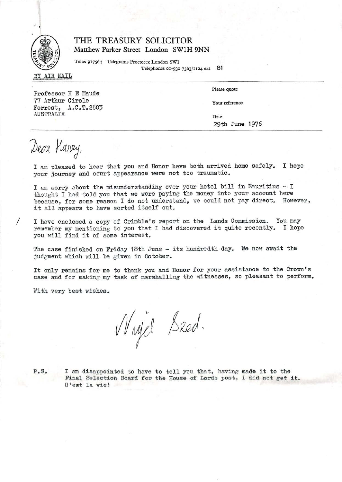

## THE TREASURY SOLICITOR Matthew Parker Street London SWIH 9NN

Telex 917564 Telegrams Proctorex London SWl Telephones 01-930 7363/1124 ext 81

BYAIR MAIL

Professor H E Maude 77 Arthur Circle YourForrest, A.C.T.2603 AUSTRALIA<u>Date</u>

Please quote

Your reference

29th June 1976

Dear Harry,

I am pleased to hear that you and Honor have both arrived home safely. I hope your journey and court appearance were not too traumatic.

I am sorry about the misunderstanding over your hotel bill in Mauritius - I thought I had told you that we were paying the money into your account here because, for some reason I do not understand, we could not pay direct. However, it all appears to have sorted itself out.

/ I have enclosed <sup>a</sup> copy of Grimble's repor<sup>t</sup> on the Lands Commission. You may remember my mentioning to you that I had discovered it quite recently. I hope you will find it of some interest.

The case finished on Friday 18th June - its hundredth day. We now await the judgment which will be given in October.

It only remains for me to thank you and Honor for your assistance to the Crown's case and for making my task of marshalling the witnesses, so pleasant to perform.

With very best wishes.

Nagel Seed.

P.S.

 I am disappointed to have to tell you that, having made it to the Final Selection Board for the House of Lords post, I did not ge<sup>t</sup> it. C'est la vie;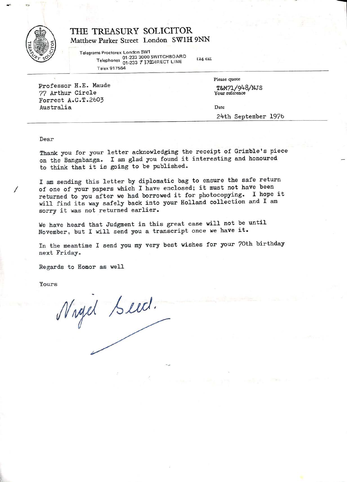

## THE TREASURY SOLICITOR Matthew Parker Street London SWIH 9NN

Telegrams Proctorex London SW1 01-233 3000 SWITCHBOARD 1-233<br>Telephones 01.233 7 372DIRECT LINE Telex 917564 124 ext

Professor H.E. Maude 77 Arthur Circle Forrest A.G.T.2603 Australia

Please quote T&M71/9^8/NJS

Your reference

Date

2^th September 197b

## Dear

Thank you for your letter acknowledging the receipt of Grimble's piece on the Bangabanga. I am glad you found it interesting and honoured to think that it is going to be published.

I am sending this letter by diplomatic bag to ensure the safe return / of oneof one of your papers which I have enclosed; it must not have been<br>returned to you after we had borrowed it for photocopying. I hope it will find its way safely back into your Holland collection and I am sorry it was not returned earlier.

We have heard that Judgment in this grea<sup>t</sup> case will not be until November, but I will send you <sup>a</sup> transcript once we have it.

In the meantime I send you my very best wishes for your 70th birthday next Friday.

Regards to Honor as well

Yours

Nagel Seed.